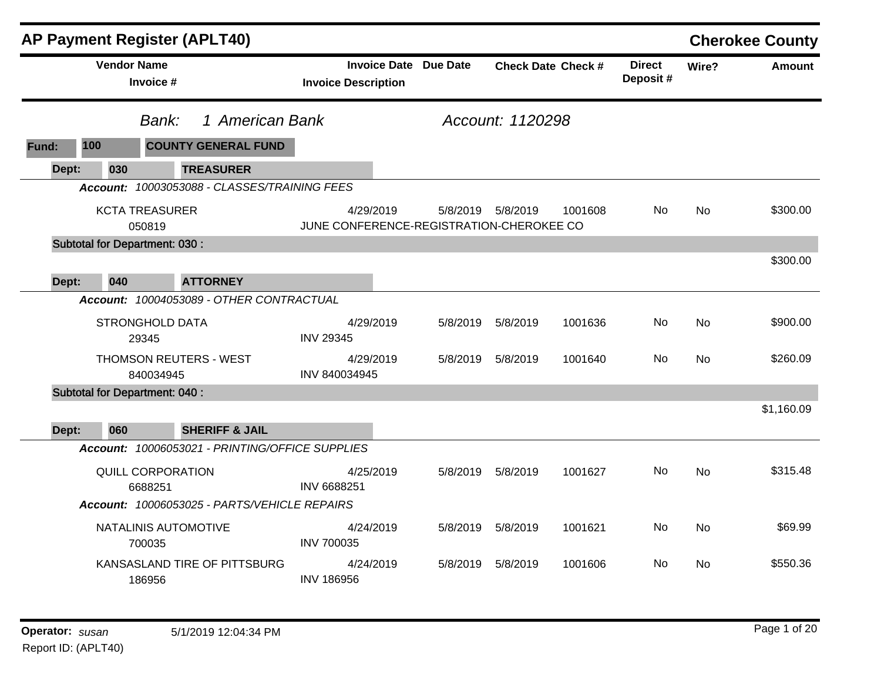|       |                    | <b>AP Payment Register (APLT40)</b>             |                                                            |          |                      |                           |                           |           | <b>Cherokee County</b> |
|-------|--------------------|-------------------------------------------------|------------------------------------------------------------|----------|----------------------|---------------------------|---------------------------|-----------|------------------------|
|       | <b>Vendor Name</b> | Invoice #                                       | <b>Invoice Date Due Date</b><br><b>Invoice Description</b> |          |                      | <b>Check Date Check #</b> | <b>Direct</b><br>Deposit# | Wire?     | <b>Amount</b>          |
|       |                    | 1 American Bank<br>Bank:                        |                                                            |          | Account: 1120298     |                           |                           |           |                        |
| Fund: | 100                | <b>COUNTY GENERAL FUND</b>                      |                                                            |          |                      |                           |                           |           |                        |
| Dept: | 030                | <b>TREASURER</b>                                |                                                            |          |                      |                           |                           |           |                        |
|       |                    | Account: 10003053088 - CLASSES/TRAINING FEES    |                                                            |          |                      |                           |                           |           |                        |
|       |                    | <b>KCTA TREASURER</b><br>050819                 | 4/29/2019<br>JUNE CONFERENCE-REGISTRATION-CHEROKEE CO      |          | 5/8/2019    5/8/2019 | 1001608                   | <b>No</b>                 | <b>No</b> | \$300.00               |
|       |                    | <b>Subtotal for Department: 030:</b>            |                                                            |          |                      |                           |                           |           |                        |
| Dept: | 040                | <b>ATTORNEY</b>                                 |                                                            |          |                      |                           |                           |           | \$300.00               |
|       |                    | Account: 10004053089 - OTHER CONTRACTUAL        |                                                            |          |                      |                           |                           |           |                        |
|       |                    | <b>STRONGHOLD DATA</b><br>29345                 | 4/29/2019<br><b>INV 29345</b>                              | 5/8/2019 | 5/8/2019             | 1001636                   | No.                       | <b>No</b> | \$900.00               |
|       |                    | <b>THOMSON REUTERS - WEST</b><br>840034945      | 4/29/2019<br>INV 840034945                                 | 5/8/2019 | 5/8/2019             | 1001640                   | No.                       | No        | \$260.09               |
|       |                    | <b>Subtotal for Department: 040:</b>            |                                                            |          |                      |                           |                           |           |                        |
| Dept: | 060                | <b>SHERIFF &amp; JAIL</b>                       |                                                            |          |                      |                           |                           |           | \$1,160.09             |
|       |                    | Account: 10006053021 - PRINTING/OFFICE SUPPLIES |                                                            |          |                      |                           |                           |           |                        |
|       |                    | QUILL CORPORATION<br>6688251                    | 4/25/2019<br>INV 6688251                                   | 5/8/2019 | 5/8/2019             | 1001627                   | No                        | <b>No</b> | \$315.48               |
|       |                    | Account: 10006053025 - PARTS/VEHICLE REPAIRS    |                                                            |          |                      |                           |                           |           |                        |
|       |                    | NATALINIS AUTOMOTIVE<br>700035                  | 4/24/2019<br><b>INV 700035</b>                             | 5/8/2019 | 5/8/2019             | 1001621                   | No                        | <b>No</b> | \$69.99                |
|       |                    | KANSASLAND TIRE OF PITTSBURG<br>186956          | 4/24/2019<br><b>INV 186956</b>                             | 5/8/2019 | 5/8/2019             | 1001606                   | No                        | No        | \$550.36               |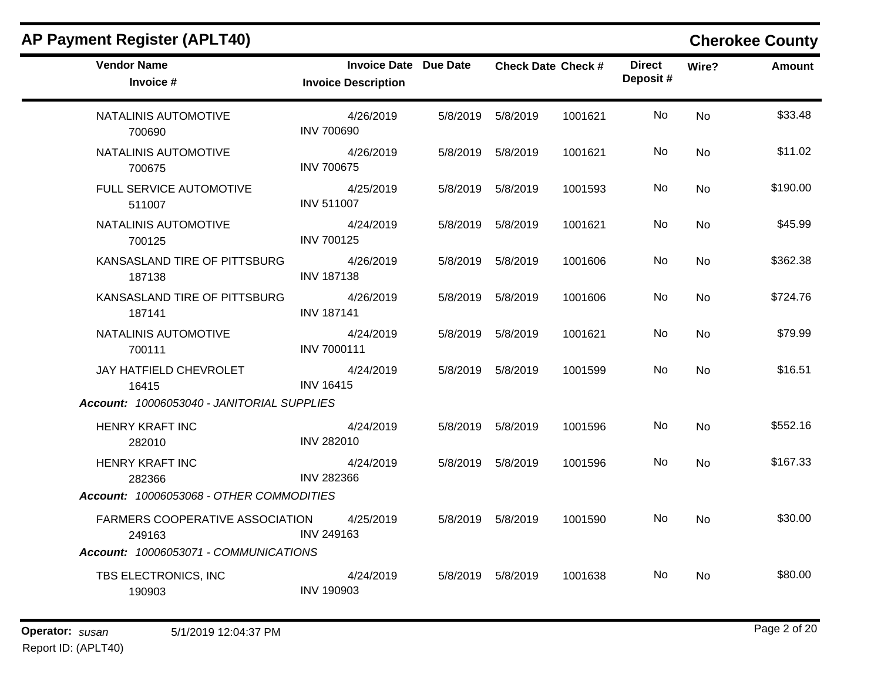| <b>AP Payment Register (APLT40)</b>        |                                                            |          |                      |                           |                           |           | <b>Cherokee County</b> |
|--------------------------------------------|------------------------------------------------------------|----------|----------------------|---------------------------|---------------------------|-----------|------------------------|
| <b>Vendor Name</b><br>Invoice #            | <b>Invoice Date Due Date</b><br><b>Invoice Description</b> |          |                      | <b>Check Date Check #</b> | <b>Direct</b><br>Deposit# | Wire?     | <b>Amount</b>          |
| NATALINIS AUTOMOTIVE<br>700690             | 4/26/2019<br><b>INV 700690</b>                             |          | 5/8/2019    5/8/2019 | 1001621                   | No                        | <b>No</b> | \$33.48                |
| NATALINIS AUTOMOTIVE<br>700675             | 4/26/2019<br><b>INV 700675</b>                             |          | 5/8/2019    5/8/2019 | 1001621                   | No.                       | No        | \$11.02                |
| FULL SERVICE AUTOMOTIVE<br>511007          | 4/25/2019<br><b>INV 511007</b>                             | 5/8/2019 | 5/8/2019             | 1001593                   | No                        | <b>No</b> | \$190.00               |
| NATALINIS AUTOMOTIVE<br>700125             | 4/24/2019<br><b>INV 700125</b>                             |          | 5/8/2019    5/8/2019 | 1001621                   | No.                       | No        | \$45.99                |
| KANSASLAND TIRE OF PITTSBURG<br>187138     | 4/26/2019<br><b>INV 187138</b>                             |          | 5/8/2019    5/8/2019 | 1001606                   | No                        | <b>No</b> | \$362.38               |
| KANSASLAND TIRE OF PITTSBURG<br>187141     | 4/26/2019<br><b>INV 187141</b>                             | 5/8/2019 | 5/8/2019             | 1001606                   | No                        | No        | \$724.76               |
| NATALINIS AUTOMOTIVE<br>700111             | 4/24/2019<br>INV 7000111                                   |          | 5/8/2019    5/8/2019 | 1001621                   | No                        | No        | \$79.99                |
| JAY HATFIELD CHEVROLET<br>16415            | 4/24/2019<br><b>INV 16415</b>                              |          | 5/8/2019    5/8/2019 | 1001599                   | No                        | <b>No</b> | \$16.51                |
| Account: 10006053040 - JANITORIAL SUPPLIES |                                                            |          |                      |                           |                           |           |                        |
| <b>HENRY KRAFT INC</b><br>282010           | 4/24/2019<br>INV 282010                                    |          | 5/8/2019    5/8/2019 | 1001596                   | No                        | No        | \$552.16               |
| <b>HENRY KRAFT INC</b><br>282366           | 4/24/2019<br><b>INV 282366</b>                             | 5/8/2019 | 5/8/2019             | 1001596                   | No                        | <b>No</b> | \$167.33               |
| Account: 10006053068 - OTHER COMMODITIES   |                                                            |          |                      |                           |                           |           |                        |
| FARMERS COOPERATIVE ASSOCIATION<br>249163  | 4/25/2019<br>INV 249163                                    |          | 5/8/2019    5/8/2019 | 1001590                   | No.                       | No.       | \$30.00                |
| Account: 10006053071 - COMMUNICATIONS      |                                                            |          |                      |                           |                           |           |                        |
| TBS ELECTRONICS, INC<br>190903             | 4/24/2019<br><b>INV 190903</b>                             |          | 5/8/2019    5/8/2019 | 1001638                   | No.                       | No        | \$80.00                |

Report ID: (APLT40)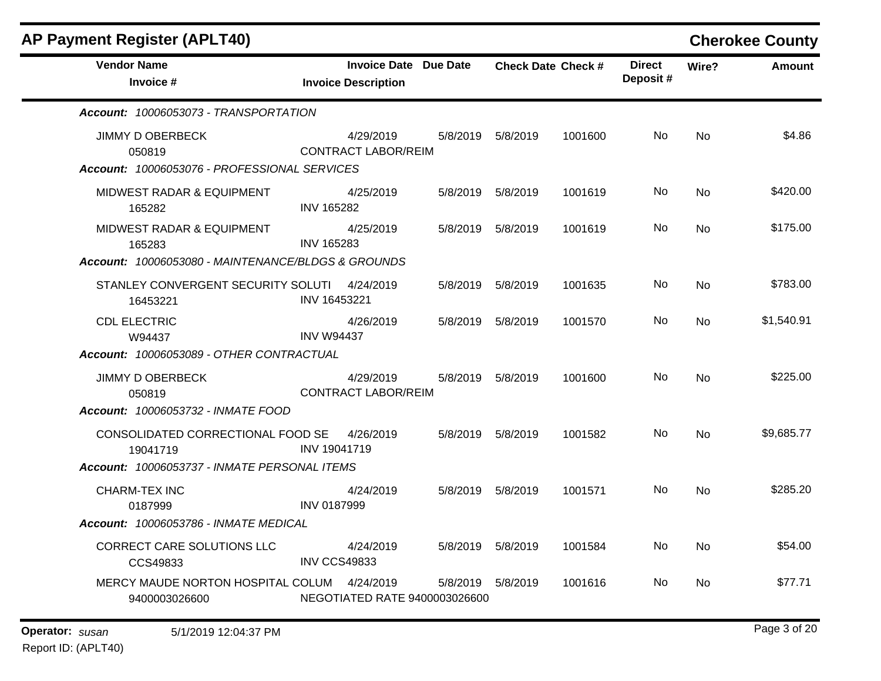| <b>P Payment Register (APLT40)</b>                                                |                     |                                                            |          |                           |         |                           |           | <b>Cherokee County</b> |
|-----------------------------------------------------------------------------------|---------------------|------------------------------------------------------------|----------|---------------------------|---------|---------------------------|-----------|------------------------|
| <b>Vendor Name</b><br>Invoice #                                                   |                     | <b>Invoice Date Due Date</b><br><b>Invoice Description</b> |          | <b>Check Date Check #</b> |         | <b>Direct</b><br>Deposit# | Wire?     | <b>Amount</b>          |
| Account: 10006053073 - TRANSPORTATION                                             |                     |                                                            |          |                           |         |                           |           |                        |
| <b>JIMMY D OBERBECK</b><br>050819<br>Account: 10006053076 - PROFESSIONAL SERVICES |                     | 4/29/2019<br><b>CONTRACT LABOR/REIM</b>                    |          | 5/8/2019 5/8/2019         | 1001600 | No                        | No        | \$4.86                 |
| <b>MIDWEST RADAR &amp; EQUIPMENT</b><br>165282                                    | <b>INV 165282</b>   | 4/25/2019                                                  |          | 5/8/2019    5/8/2019      | 1001619 | No                        | No        | \$420.00               |
| MIDWEST RADAR & EQUIPMENT<br>165283                                               | <b>INV 165283</b>   | 4/25/2019                                                  |          | 5/8/2019    5/8/2019      | 1001619 | No.                       | No        | \$175.00               |
| Account: 10006053080 - MAINTENANCE/BLDGS & GROUNDS                                |                     |                                                            |          |                           |         |                           |           |                        |
| STANLEY CONVERGENT SECURITY SOLUTI<br>16453221                                    | INV 16453221        | 4/24/2019                                                  | 5/8/2019 | 5/8/2019                  | 1001635 | No                        | <b>No</b> | \$783.00               |
| <b>CDL ELECTRIC</b><br>W94437                                                     | <b>INV W94437</b>   | 4/26/2019                                                  | 5/8/2019 | 5/8/2019                  | 1001570 | No                        | No        | \$1,540.91             |
| Account: 10006053089 - OTHER CONTRACTUAL                                          |                     |                                                            |          |                           |         |                           |           |                        |
| <b>JIMMY D OBERBECK</b><br>050819                                                 |                     | 4/29/2019<br><b>CONTRACT LABOR/REIM</b>                    | 5/8/2019 | 5/8/2019                  | 1001600 | No                        | No        | \$225.00               |
| Account: 10006053732 - INMATE FOOD                                                |                     |                                                            |          |                           |         |                           |           |                        |
| CONSOLIDATED CORRECTIONAL FOOD SE<br>19041719                                     | <b>INV 19041719</b> | 4/26/2019                                                  | 5/8/2019 | 5/8/2019                  | 1001582 | No                        | <b>No</b> | \$9,685.77             |
| Account: 10006053737 - INMATE PERSONAL ITEMS                                      |                     |                                                            |          |                           |         |                           |           |                        |
| <b>CHARM-TEX INC</b><br>0187999                                                   | <b>INV 0187999</b>  | 4/24/2019                                                  | 5/8/2019 | 5/8/2019                  | 1001571 | No.                       | No        | \$285.20               |
| Account: 10006053786 - INMATE MEDICAL                                             |                     |                                                            |          |                           |         |                           |           |                        |
| <b>CORRECT CARE SOLUTIONS LLC</b><br>CCS49833                                     | <b>INV CCS49833</b> | 4/24/2019                                                  | 5/8/2019 | 5/8/2019                  | 1001584 | No                        | No        | \$54.00                |
| MERCY MAUDE NORTON HOSPITAL COLUM 4/24/2019<br>9400003026600                      |                     | NEGOTIATED RATE 9400003026600                              | 5/8/2019 | 5/8/2019                  | 1001616 | No                        | No        | \$77.71                |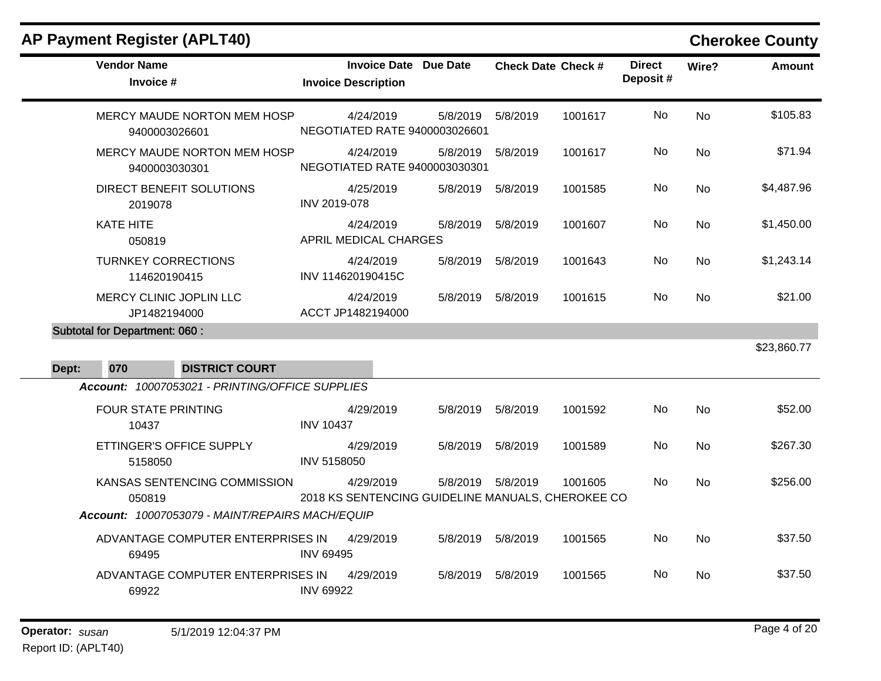|       | <b>AP Payment Register (APLT40)</b>        |                                                                          |                  |                                                                |                      |                           |         |                           |                | <b>Cherokee County</b> |
|-------|--------------------------------------------|--------------------------------------------------------------------------|------------------|----------------------------------------------------------------|----------------------|---------------------------|---------|---------------------------|----------------|------------------------|
|       | <b>Vendor Name</b><br>Invoice #            |                                                                          |                  | <b>Invoice Date Due Date</b><br><b>Invoice Description</b>     |                      | <b>Check Date Check #</b> |         | <b>Direct</b><br>Deposit# | Wire?          | <b>Amount</b>          |
|       | 9400003026601                              | MERCY MAUDE NORTON MEM HOSP                                              |                  | 4/24/2019<br>NEGOTIATED RATE 9400003026601                     | 5/8/2019             | 5/8/2019                  | 1001617 | No                        | No             | \$105.83               |
|       | 9400003030301                              | MERCY MAUDE NORTON MEM HOSP                                              |                  | 4/24/2019<br>NEGOTIATED RATE 9400003030301                     | 5/8/2019             | 5/8/2019                  | 1001617 | No.                       | No             | \$71.94                |
|       | 2019078                                    | DIRECT BENEFIT SOLUTIONS                                                 | INV 2019-078     | 4/25/2019                                                      | 5/8/2019             | 5/8/2019                  | 1001585 | No                        | <b>No</b>      | \$4,487.96             |
|       | KATE HITE<br>050819                        |                                                                          |                  | 4/24/2019<br>APRIL MEDICAL CHARGES                             | 5/8/2019    5/8/2019 |                           | 1001607 | No.                       | No             | \$1,450.00             |
|       | <b>TURNKEY CORRECTIONS</b><br>114620190415 |                                                                          |                  | 4/24/2019<br>INV 114620190415C                                 | 5/8/2019    5/8/2019 |                           | 1001643 | No                        | <b>No</b>      | \$1,243.14             |
|       | MERCY CLINIC JOPLIN LLC<br>JP1482194000    |                                                                          |                  | 4/24/2019<br>ACCT JP1482194000                                 | 5/8/2019    5/8/2019 |                           | 1001615 | No.                       | No.            | \$21.00                |
|       | <b>Subtotal for Department: 060:</b>       |                                                                          |                  |                                                                |                      |                           |         |                           |                |                        |
|       |                                            |                                                                          |                  |                                                                |                      |                           |         |                           |                | \$23,860.77            |
| Dept: | 070                                        | <b>DISTRICT COURT</b><br>Account: 10007053021 - PRINTING/OFFICE SUPPLIES |                  |                                                                |                      |                           |         |                           |                |                        |
|       | <b>FOUR STATE PRINTING</b><br>10437        |                                                                          | <b>INV 10437</b> | 4/29/2019                                                      | 5/8/2019    5/8/2019 |                           | 1001592 | <b>No</b>                 | N <sub>o</sub> | \$52.00                |
|       | 5158050                                    | ETTINGER'S OFFICE SUPPLY                                                 | INV 5158050      | 4/29/2019                                                      | 5/8/2019    5/8/2019 |                           | 1001589 | No                        | No             | \$267.30               |
|       | 050819                                     | KANSAS SENTENCING COMMISSION                                             |                  | 4/29/2019<br>2018 KS SENTENCING GUIDELINE MANUALS, CHEROKEE CO | 5/8/2019    5/8/2019 |                           | 1001605 | No.                       | <b>No</b>      | \$256.00               |
|       |                                            | Account: 10007053079 - MAINT/REPAIRS MACH/EQUIP                          |                  |                                                                |                      |                           |         |                           |                |                        |
|       | 69495                                      | ADVANTAGE COMPUTER ENTERPRISES IN                                        | <b>INV 69495</b> | 4/29/2019                                                      | 5/8/2019 5/8/2019    |                           | 1001565 | No                        | No             | \$37.50                |
|       | 69922                                      | ADVANTAGE COMPUTER ENTERPRISES IN                                        | <b>INV 69922</b> | 4/29/2019                                                      | 5/8/2019             | 5/8/2019                  | 1001565 | No                        | No.            | \$37.50                |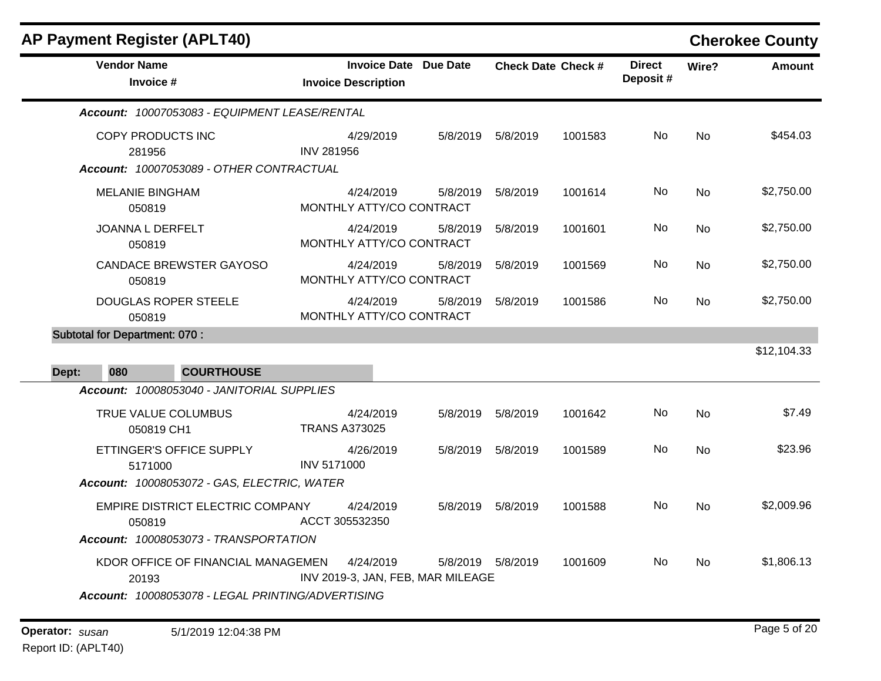| <b>AP Payment Register (APLT40)</b>               |                                                            |          |                      |                           |                           |           | <b>Cherokee County</b> |
|---------------------------------------------------|------------------------------------------------------------|----------|----------------------|---------------------------|---------------------------|-----------|------------------------|
| <b>Vendor Name</b><br>Invoice #                   | <b>Invoice Date Due Date</b><br><b>Invoice Description</b> |          |                      | <b>Check Date Check #</b> | <b>Direct</b><br>Deposit# | Wire?     | <b>Amount</b>          |
| Account: 10007053083 - EQUIPMENT LEASE/RENTAL     |                                                            |          |                      |                           |                           |           |                        |
| COPY PRODUCTS INC<br>281956                       | 4/29/2019<br><b>INV 281956</b>                             | 5/8/2019 | 5/8/2019             | 1001583                   | No                        | <b>No</b> | \$454.03               |
| Account: 10007053089 - OTHER CONTRACTUAL          |                                                            |          |                      |                           |                           |           |                        |
| <b>MELANIE BINGHAM</b><br>050819                  | 4/24/2019<br>MONTHLY ATTY/CO CONTRACT                      | 5/8/2019 | 5/8/2019             | 1001614                   | No                        | <b>No</b> | \$2,750.00             |
| JOANNA L DERFELT<br>050819                        | 4/24/2019<br>MONTHLY ATTY/CO CONTRACT                      | 5/8/2019 | 5/8/2019             | 1001601                   | No                        | <b>No</b> | \$2,750.00             |
| <b>CANDACE BREWSTER GAYOSO</b><br>050819          | 4/24/2019<br>MONTHLY ATTY/CO CONTRACT                      | 5/8/2019 | 5/8/2019             | 1001569                   | No                        | <b>No</b> | \$2,750.00             |
| <b>DOUGLAS ROPER STEELE</b><br>050819             | 4/24/2019<br>MONTHLY ATTY/CO CONTRACT                      | 5/8/2019 | 5/8/2019             | 1001586                   | No                        | <b>No</b> | \$2,750.00             |
| <b>Subtotal for Department: 070:</b>              |                                                            |          |                      |                           |                           |           |                        |
|                                                   |                                                            |          |                      |                           |                           |           | \$12,104.33            |
| <b>COURTHOUSE</b><br>Dept:<br>080                 |                                                            |          |                      |                           |                           |           |                        |
| Account: 10008053040 - JANITORIAL SUPPLIES        |                                                            |          |                      |                           |                           |           |                        |
| TRUE VALUE COLUMBUS<br>050819 CH1                 | 4/24/2019<br><b>TRANS A373025</b>                          | 5/8/2019 | 5/8/2019             | 1001642                   | No                        | <b>No</b> | \$7.49                 |
| ETTINGER'S OFFICE SUPPLY<br>5171000               | 4/26/2019<br><b>INV 5171000</b>                            |          | 5/8/2019    5/8/2019 | 1001589                   | No                        | <b>No</b> | \$23.96                |
| Account: 10008053072 - GAS, ELECTRIC, WATER       |                                                            |          |                      |                           |                           |           |                        |
| EMPIRE DISTRICT ELECTRIC COMPANY<br>050819        | 4/24/2019<br>ACCT 305532350                                | 5/8/2019 | 5/8/2019             | 1001588                   | No                        | <b>No</b> | \$2,009.96             |
| Account: 10008053073 - TRANSPORTATION             |                                                            |          |                      |                           |                           |           |                        |
| KDOR OFFICE OF FINANCIAL MANAGEMEN<br>20193       | 4/24/2019<br>INV 2019-3, JAN, FEB, MAR MILEAGE             |          | 5/8/2019    5/8/2019 | 1001609                   | No.                       | No        | \$1,806.13             |
| Account: 10008053078 - LEGAL PRINTING/ADVERTISING |                                                            |          |                      |                           |                           |           |                        |
|                                                   |                                                            |          |                      |                           |                           |           |                        |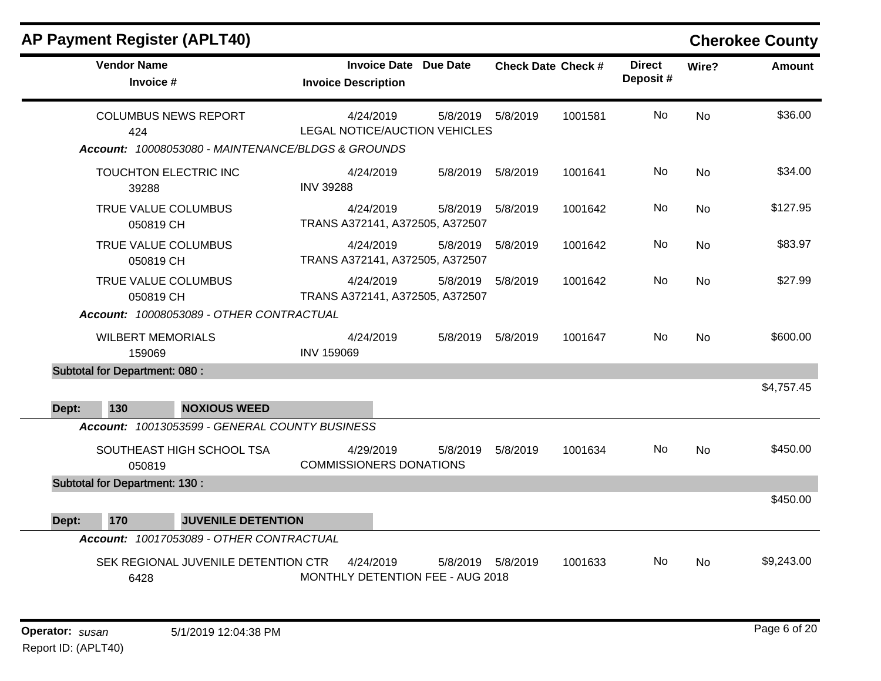|       | <b>AP Payment Register (APLT40)</b>                                                      |                                                            |                      |                           |         |                           |           | <b>Cherokee County</b> |
|-------|------------------------------------------------------------------------------------------|------------------------------------------------------------|----------------------|---------------------------|---------|---------------------------|-----------|------------------------|
|       | <b>Vendor Name</b><br>Invoice #                                                          | <b>Invoice Date Due Date</b><br><b>Invoice Description</b> |                      | <b>Check Date Check #</b> |         | <b>Direct</b><br>Deposit# | Wire?     | <b>Amount</b>          |
|       | <b>COLUMBUS NEWS REPORT</b><br>424<br>Account: 10008053080 - MAINTENANCE/BLDGS & GROUNDS | 4/24/2019<br>LEGAL NOTICE/AUCTION VEHICLES                 | 5/8/2019    5/8/2019 |                           | 1001581 | No.                       | <b>No</b> | \$36.00                |
|       | TOUCHTON ELECTRIC INC<br>39288                                                           | 4/24/2019<br><b>INV 39288</b>                              | 5/8/2019             | 5/8/2019                  | 1001641 | No.                       | <b>No</b> | \$34.00                |
|       | TRUE VALUE COLUMBUS<br>050819 CH                                                         | 4/24/2019<br>TRANS A372141, A372505, A372507               | 5/8/2019    5/8/2019 |                           | 1001642 | No.                       | <b>No</b> | \$127.95               |
|       | TRUE VALUE COLUMBUS<br>050819 CH                                                         | 4/24/2019<br>TRANS A372141, A372505, A372507               | 5/8/2019             | 5/8/2019                  | 1001642 | No                        | <b>No</b> | \$83.97                |
|       | TRUE VALUE COLUMBUS<br>050819 CH<br>Account: 10008053089 - OTHER CONTRACTUAL             | 4/24/2019<br>TRANS A372141, A372505, A372507               | 5/8/2019    5/8/2019 |                           | 1001642 | No.                       | <b>No</b> | \$27.99                |
|       | <b>WILBERT MEMORIALS</b><br>159069                                                       | 4/24/2019<br><b>INV 159069</b>                             | 5/8/2019             | 5/8/2019                  | 1001647 | No.                       | <b>No</b> | \$600.00               |
| Dept: | <b>Subtotal for Department: 080:</b><br><b>NOXIOUS WEED</b><br>130                       |                                                            |                      |                           |         |                           |           | \$4,757.45             |
|       | Account: 10013053599 - GENERAL COUNTY BUSINESS                                           |                                                            |                      |                           |         |                           |           |                        |
|       | SOUTHEAST HIGH SCHOOL TSA<br>050819                                                      | 4/29/2019<br><b>COMMISSIONERS DONATIONS</b>                | 5/8/2019             | 5/8/2019                  | 1001634 | No.                       | <b>No</b> | \$450.00               |
|       | <b>Subtotal for Department: 130:</b>                                                     |                                                            |                      |                           |         |                           |           |                        |
| Dept: | 170<br><b>JUVENILE DETENTION</b>                                                         |                                                            |                      |                           |         |                           |           | \$450.00               |
|       | Account: 10017053089 - OTHER CONTRACTUAL                                                 |                                                            |                      |                           |         |                           |           |                        |
|       | SEK REGIONAL JUVENILE DETENTION CTR<br>6428                                              | 4/24/2019<br>MONTHLY DETENTION FEE - AUG 2018              | 5/8/2019             | 5/8/2019                  | 1001633 | <b>No</b>                 | <b>No</b> | \$9,243.00             |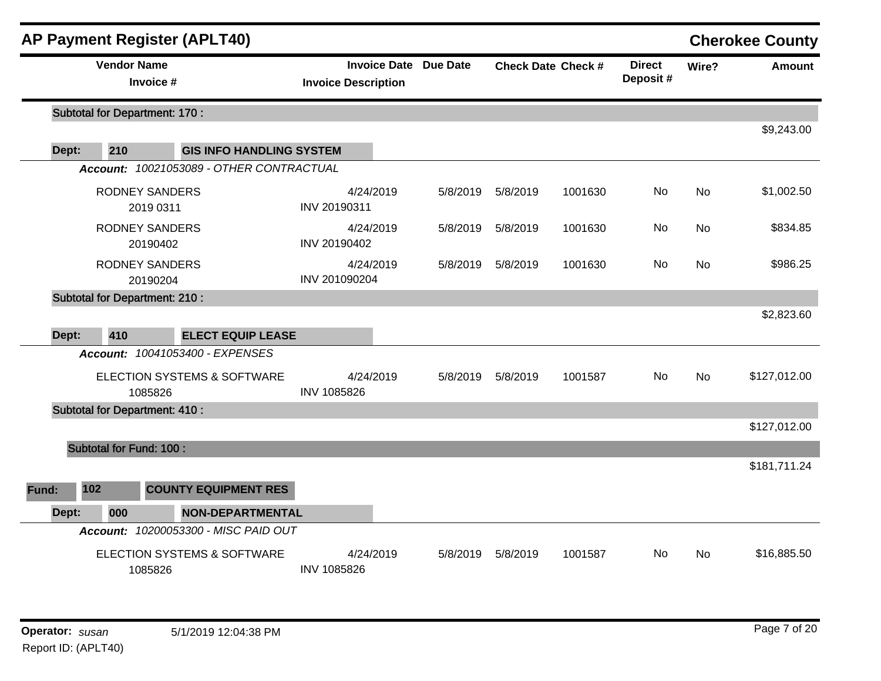|              | <b>AP Payment Register (APLT40)</b>      |                                 |                                                            |          |          |                           |                           |           | <b>Cherokee County</b> |
|--------------|------------------------------------------|---------------------------------|------------------------------------------------------------|----------|----------|---------------------------|---------------------------|-----------|------------------------|
|              | <b>Vendor Name</b><br>Invoice #          |                                 | <b>Invoice Date Due Date</b><br><b>Invoice Description</b> |          |          | <b>Check Date Check #</b> | <b>Direct</b><br>Deposit# | Wire?     | <b>Amount</b>          |
|              | <b>Subtotal for Department: 170:</b>     |                                 |                                                            |          |          |                           |                           |           |                        |
|              |                                          |                                 |                                                            |          |          |                           |                           |           | \$9,243.00             |
| Dept:        | 210                                      | <b>GIS INFO HANDLING SYSTEM</b> |                                                            |          |          |                           |                           |           |                        |
|              | Account: 10021053089 - OTHER CONTRACTUAL |                                 |                                                            |          |          |                           |                           |           |                        |
|              | <b>RODNEY SANDERS</b><br>2019 0311       |                                 | 4/24/2019<br>INV 20190311                                  | 5/8/2019 | 5/8/2019 | 1001630                   | No.                       | <b>No</b> | \$1,002.50             |
|              | <b>RODNEY SANDERS</b><br>20190402        |                                 | 4/24/2019<br>INV 20190402                                  | 5/8/2019 | 5/8/2019 | 1001630                   | No                        | No        | \$834.85               |
|              | <b>RODNEY SANDERS</b><br>20190204        |                                 | 4/24/2019<br>INV 201090204                                 | 5/8/2019 | 5/8/2019 | 1001630                   | No                        | No        | \$986.25               |
|              | <b>Subtotal for Department: 210:</b>     |                                 |                                                            |          |          |                           |                           |           |                        |
|              |                                          |                                 |                                                            |          |          |                           |                           |           | \$2,823.60             |
| Dept:        | 410                                      | <b>ELECT EQUIP LEASE</b>        |                                                            |          |          |                           |                           |           |                        |
|              | Account: 10041053400 - EXPENSES          |                                 |                                                            |          |          |                           |                           |           |                        |
|              | ELECTION SYSTEMS & SOFTWARE<br>1085826   |                                 | 4/24/2019<br><b>INV 1085826</b>                            | 5/8/2019 | 5/8/2019 | 1001587                   | <b>No</b>                 | <b>No</b> | \$127,012.00           |
|              | <b>Subtotal for Department: 410:</b>     |                                 |                                                            |          |          |                           |                           |           |                        |
|              |                                          |                                 |                                                            |          |          |                           |                           |           | \$127,012.00           |
|              | <b>Subtotal for Fund: 100:</b>           |                                 |                                                            |          |          |                           |                           |           |                        |
|              |                                          |                                 |                                                            |          |          |                           |                           |           | \$181,711.24           |
| 102<br>Fund: | <b>COUNTY EQUIPMENT RES</b>              |                                 |                                                            |          |          |                           |                           |           |                        |
| Dept:        | 000                                      | <b>NON-DEPARTMENTAL</b>         |                                                            |          |          |                           |                           |           |                        |
|              | Account: 10200053300 - MISC PAID OUT     |                                 |                                                            |          |          |                           |                           |           |                        |
|              | ELECTION SYSTEMS & SOFTWARE<br>1085826   |                                 | 4/24/2019<br><b>INV 1085826</b>                            | 5/8/2019 | 5/8/2019 | 1001587                   | No                        | No        | \$16,885.50            |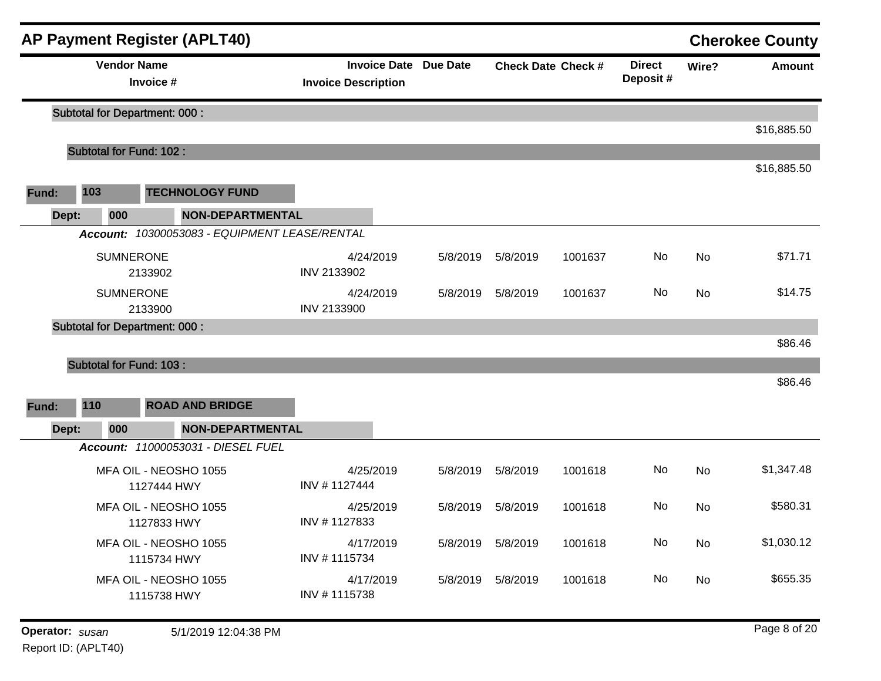|                 |       |                    | <b>AP Payment Register (APLT40)</b>           |                            |                              |                      |                           |                           |       | <b>Cherokee County</b> |
|-----------------|-------|--------------------|-----------------------------------------------|----------------------------|------------------------------|----------------------|---------------------------|---------------------------|-------|------------------------|
|                 |       | <b>Vendor Name</b> | Invoice #                                     | <b>Invoice Description</b> | <b>Invoice Date Due Date</b> |                      | <b>Check Date Check #</b> | <b>Direct</b><br>Deposit# | Wire? | Amount                 |
|                 |       |                    | <b>Subtotal for Department: 000:</b>          |                            |                              |                      |                           |                           |       |                        |
|                 |       |                    | Subtotal for Fund: 102 :                      |                            |                              |                      |                           |                           |       | \$16,885.50            |
|                 |       |                    |                                               |                            |                              |                      |                           |                           |       | \$16,885.50            |
| Fund:           | 103   |                    | <b>TECHNOLOGY FUND</b>                        |                            |                              |                      |                           |                           |       |                        |
|                 | Dept: | 000                | <b>NON-DEPARTMENTAL</b>                       |                            |                              |                      |                           |                           |       |                        |
|                 |       |                    | Account: 10300053083 - EQUIPMENT LEASE/RENTAL |                            |                              |                      |                           |                           |       |                        |
|                 |       | <b>SUMNERONE</b>   | 2133902                                       | 4/24/2019<br>INV 2133902   | 5/8/2019                     | 5/8/2019             | 1001637                   | No                        | No    | \$71.71                |
|                 |       | <b>SUMNERONE</b>   | 2133900                                       | 4/24/2019<br>INV 2133900   | 5/8/2019                     | 5/8/2019             | 1001637                   | No                        | No    | \$14.75                |
|                 |       |                    | <b>Subtotal for Department: 000:</b>          |                            |                              |                      |                           |                           |       |                        |
|                 |       |                    |                                               |                            |                              |                      |                           |                           |       | \$86.46                |
|                 |       |                    | Subtotal for Fund: 103 :                      |                            |                              |                      |                           |                           |       | \$86.46                |
| Fund:           | 110   |                    | <b>ROAD AND BRIDGE</b>                        |                            |                              |                      |                           |                           |       |                        |
|                 | Dept: | 000                | <b>NON-DEPARTMENTAL</b>                       |                            |                              |                      |                           |                           |       |                        |
|                 |       |                    | Account: 11000053031 - DIESEL FUEL            |                            |                              |                      |                           |                           |       |                        |
|                 |       |                    | MFA OIL - NEOSHO 1055<br>1127444 HWY          | 4/25/2019<br>INV #1127444  | 5/8/2019                     | 5/8/2019             | 1001618                   | No                        | No    | \$1,347.48             |
|                 |       |                    | MFA OIL - NEOSHO 1055<br>1127833 HWY          | 4/25/2019<br>INV #1127833  | 5/8/2019                     | 5/8/2019             | 1001618                   | No                        | No    | \$580.31               |
|                 |       |                    | MFA OIL - NEOSHO 1055<br>1115734 HWY          | 4/17/2019<br>INV #1115734  |                              | 5/8/2019    5/8/2019 | 1001618                   | No                        | No    | \$1,030.12             |
|                 |       |                    | MFA OIL - NEOSHO 1055<br>1115738 HWY          | 4/17/2019<br>INV #1115738  | 5/8/2019                     | 5/8/2019             | 1001618                   | No                        | No    | \$655.35               |
| Operator: susan |       |                    | 5/1/2019 12:04:38 PM                          |                            |                              |                      |                           |                           |       | Page 8 of 20           |

Report ID: (APLT40)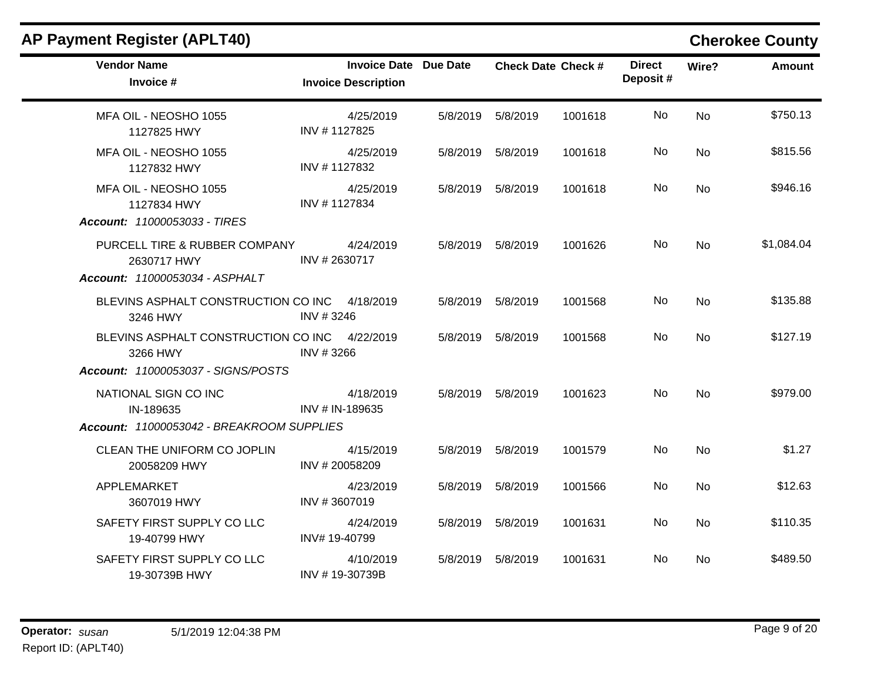| <b>AP Payment Register (APLT40)</b>                                  |                                                            |          |                      |                           |                           |                | <b>Cherokee County</b> |
|----------------------------------------------------------------------|------------------------------------------------------------|----------|----------------------|---------------------------|---------------------------|----------------|------------------------|
| <b>Vendor Name</b><br>Invoice #                                      | <b>Invoice Date Due Date</b><br><b>Invoice Description</b> |          |                      | <b>Check Date Check #</b> | <b>Direct</b><br>Deposit# | Wire?          | <b>Amount</b>          |
| MFA OIL - NEOSHO 1055<br>1127825 HWY                                 | 4/25/2019<br>INV #1127825                                  |          | 5/8/2019    5/8/2019 | 1001618                   | No.                       | N <sub>0</sub> | \$750.13               |
| MFA OIL - NEOSHO 1055<br>1127832 HWY                                 | 4/25/2019<br>INV #1127832                                  |          | 5/8/2019    5/8/2019 | 1001618                   | No                        | <b>No</b>      | \$815.56               |
| MFA OIL - NEOSHO 1055<br>1127834 HWY<br>Account: 11000053033 - TIRES | 4/25/2019<br>INV #1127834                                  |          | 5/8/2019    5/8/2019 | 1001618                   | No.                       | <b>No</b>      | \$946.16               |
| PURCELL TIRE & RUBBER COMPANY<br>2630717 HWY                         | 4/24/2019<br>INV # 2630717                                 |          | 5/8/2019    5/8/2019 | 1001626                   | No                        | N <sub>o</sub> | \$1,084.04             |
| Account: 11000053034 - ASPHALT                                       |                                                            |          |                      |                           |                           |                |                        |
| BLEVINS ASPHALT CONSTRUCTION CO INC 4/18/2019<br>3246 HWY            | INV #3246                                                  | 5/8/2019 | 5/8/2019             | 1001568                   | No                        | <b>No</b>      | \$135.88               |
| BLEVINS ASPHALT CONSTRUCTION CO INC<br>3266 HWY                      | 4/22/2019<br>INV #3266                                     |          | 5/8/2019    5/8/2019 | 1001568                   | No.                       | No.            | \$127.19               |
| Account: 11000053037 - SIGNS/POSTS                                   |                                                            |          |                      |                           |                           |                |                        |
| NATIONAL SIGN CO INC<br>IN-189635                                    | 4/18/2019<br>INV # IN-189635                               |          | 5/8/2019    5/8/2019 | 1001623                   | No                        | <b>No</b>      | \$979.00               |
| Account: 11000053042 - BREAKROOM SUPPLIES                            |                                                            |          |                      |                           |                           |                |                        |
| CLEAN THE UNIFORM CO JOPLIN<br>20058209 HWY                          | 4/15/2019<br>INV #20058209                                 |          | 5/8/2019    5/8/2019 | 1001579                   | No                        | <b>No</b>      | \$1.27                 |
| APPLEMARKET<br>3607019 HWY                                           | 4/23/2019<br>INV #3607019                                  | 5/8/2019 | 5/8/2019             | 1001566                   | No.                       | <b>No</b>      | \$12.63                |
| SAFETY FIRST SUPPLY CO LLC<br>19-40799 HWY                           | 4/24/2019<br>INV# 19-40799                                 | 5/8/2019 | 5/8/2019             | 1001631                   | No                        | <b>No</b>      | \$110.35               |
| SAFETY FIRST SUPPLY CO LLC<br>19-30739B HWY                          | 4/10/2019<br>INV #19-30739B                                |          | 5/8/2019    5/8/2019 | 1001631                   | No.                       | <b>No</b>      | \$489.50               |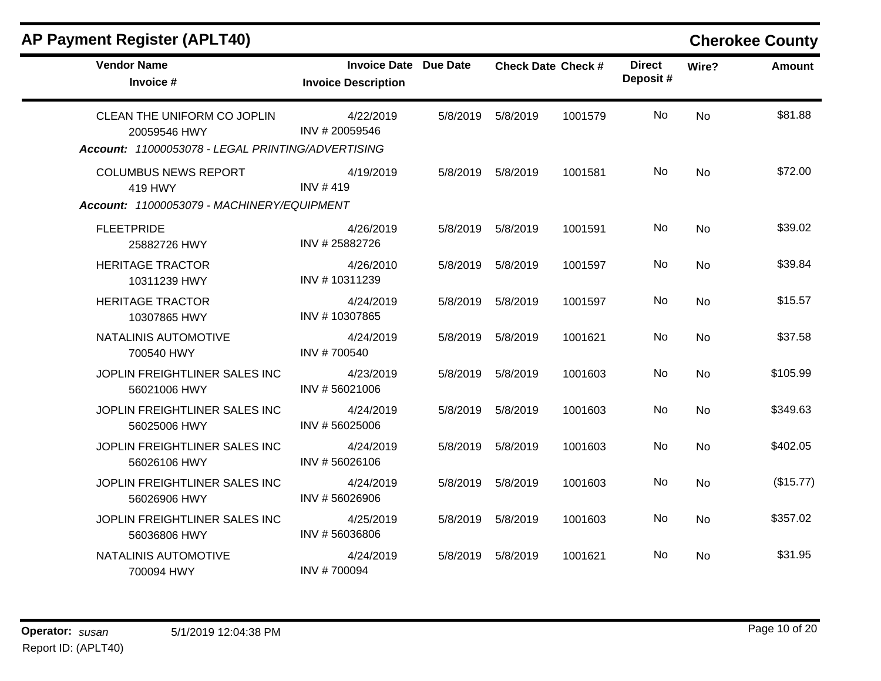| <b>AP Payment Register (APLT40)</b>                                                              |                                                            |          |                      |                           |                           |           | <b>Cherokee County</b> |
|--------------------------------------------------------------------------------------------------|------------------------------------------------------------|----------|----------------------|---------------------------|---------------------------|-----------|------------------------|
| <b>Vendor Name</b><br>Invoice #                                                                  | <b>Invoice Date Due Date</b><br><b>Invoice Description</b> |          |                      | <b>Check Date Check #</b> | <b>Direct</b><br>Deposit# | Wire?     | <b>Amount</b>          |
| CLEAN THE UNIFORM CO JOPLIN<br>20059546 HWY<br>Account: 11000053078 - LEGAL PRINTING/ADVERTISING | 4/22/2019<br>INV #20059546                                 | 5/8/2019 | 5/8/2019             | 1001579                   | No.                       | <b>No</b> | \$81.88                |
| <b>COLUMBUS NEWS REPORT</b><br>419 HWY<br>Account: 11000053079 - MACHINERY/EQUIPMENT             | 4/19/2019<br>INV $#419$                                    |          | 5/8/2019    5/8/2019 | 1001581                   | No.                       | <b>No</b> | \$72.00                |
| <b>FLEETPRIDE</b><br>25882726 HWY                                                                | 4/26/2019<br>INV #25882726                                 | 5/8/2019 | 5/8/2019             | 1001591                   | No                        | <b>No</b> | \$39.02                |
| <b>HERITAGE TRACTOR</b><br>10311239 HWY                                                          | 4/26/2010<br>INV #10311239                                 | 5/8/2019 | 5/8/2019             | 1001597                   | No.                       | <b>No</b> | \$39.84                |
| <b>HERITAGE TRACTOR</b><br>10307865 HWY                                                          | 4/24/2019<br>INV #10307865                                 | 5/8/2019 | 5/8/2019             | 1001597                   | No                        | <b>No</b> | \$15.57                |
| NATALINIS AUTOMOTIVE<br>700540 HWY                                                               | 4/24/2019<br>INV #700540                                   | 5/8/2019 | 5/8/2019             | 1001621                   | No.                       | <b>No</b> | \$37.58                |
| JOPLIN FREIGHTLINER SALES INC<br>56021006 HWY                                                    | 4/23/2019<br>INV #56021006                                 | 5/8/2019 | 5/8/2019             | 1001603                   | No                        | <b>No</b> | \$105.99               |
| JOPLIN FREIGHTLINER SALES INC<br>56025006 HWY                                                    | 4/24/2019<br>INV #56025006                                 | 5/8/2019 | 5/8/2019             | 1001603                   | No.                       | <b>No</b> | \$349.63               |
| JOPLIN FREIGHTLINER SALES INC<br>56026106 HWY                                                    | 4/24/2019<br>INV #56026106                                 | 5/8/2019 | 5/8/2019             | 1001603                   | No                        | <b>No</b> | \$402.05               |
| JOPLIN FREIGHTLINER SALES INC<br>56026906 HWY                                                    | 4/24/2019<br>INV #56026906                                 | 5/8/2019 | 5/8/2019             | 1001603                   | No                        | No        | (\$15.77)              |
| JOPLIN FREIGHTLINER SALES INC<br>56036806 HWY                                                    | 4/25/2019<br>INV #56036806                                 | 5/8/2019 | 5/8/2019             | 1001603                   | No                        | <b>No</b> | \$357.02               |
| NATALINIS AUTOMOTIVE<br>700094 HWY                                                               | 4/24/2019<br>INV #700094                                   | 5/8/2019 | 5/8/2019             | 1001621                   | No.                       | No.       | \$31.95                |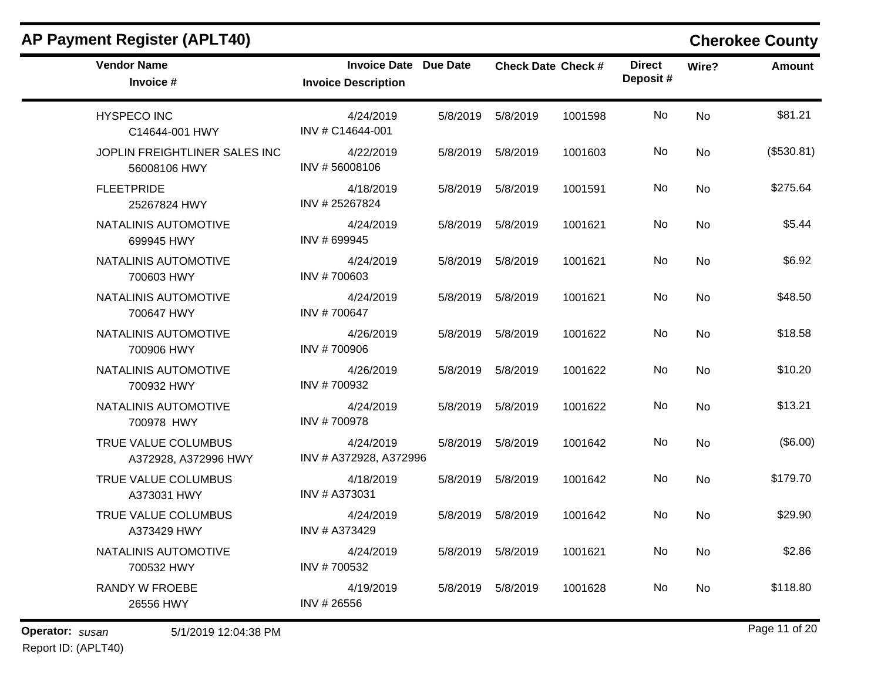| <b>AP Payment Register (APLT40)</b>           |                                                            |          |                      |                           |                           |       | <b>Cherokee County</b> |
|-----------------------------------------------|------------------------------------------------------------|----------|----------------------|---------------------------|---------------------------|-------|------------------------|
| <b>Vendor Name</b><br>Invoice #               | <b>Invoice Date Due Date</b><br><b>Invoice Description</b> |          |                      | <b>Check Date Check #</b> | <b>Direct</b><br>Deposit# | Wire? | Amount                 |
| <b>HYSPECO INC</b><br>C14644-001 HWY          | 4/24/2019<br>INV # C14644-001                              | 5/8/2019 | 5/8/2019             | 1001598                   | No                        | No    | \$81.21                |
| JOPLIN FREIGHTLINER SALES INC<br>56008106 HWY | 4/22/2019<br>INV #56008106                                 | 5/8/2019 | 5/8/2019             | 1001603                   | No                        | No    | (\$530.81)             |
| <b>FLEETPRIDE</b><br>25267824 HWY             | 4/18/2019<br>INV #25267824                                 | 5/8/2019 | 5/8/2019             | 1001591                   | No                        | No    | \$275.64               |
| NATALINIS AUTOMOTIVE<br>699945 HWY            | 4/24/2019<br>INV # 699945                                  | 5/8/2019 | 5/8/2019             | 1001621                   | No                        | No    | \$5.44                 |
| NATALINIS AUTOMOTIVE<br>700603 HWY            | 4/24/2019<br>INV #700603                                   | 5/8/2019 | 5/8/2019             | 1001621                   | No                        | No    | \$6.92                 |
| NATALINIS AUTOMOTIVE<br>700647 HWY            | 4/24/2019<br>INV #700647                                   | 5/8/2019 | 5/8/2019             | 1001621                   | No                        | No    | \$48.50                |
| NATALINIS AUTOMOTIVE<br>700906 HWY            | 4/26/2019<br>INV #700906                                   | 5/8/2019 | 5/8/2019             | 1001622                   | No                        | No    | \$18.58                |
| NATALINIS AUTOMOTIVE<br>700932 HWY            | 4/26/2019<br>INV #700932                                   | 5/8/2019 | 5/8/2019             | 1001622                   | No                        | No    | \$10.20                |
| NATALINIS AUTOMOTIVE<br>700978 HWY            | 4/24/2019<br>INV #700978                                   | 5/8/2019 | 5/8/2019             | 1001622                   | No                        | No    | \$13.21                |
| TRUE VALUE COLUMBUS<br>A372928, A372996 HWY   | 4/24/2019<br>INV # A372928, A372996                        | 5/8/2019 | 5/8/2019             | 1001642                   | No                        | No    | (\$6.00)               |
| TRUE VALUE COLUMBUS<br>A373031 HWY            | 4/18/2019<br>INV # A373031                                 | 5/8/2019 | 5/8/2019             | 1001642                   | No                        | No    | \$179.70               |
| TRUE VALUE COLUMBUS<br>A373429 HWY            | 4/24/2019<br>INV # A373429                                 | 5/8/2019 | 5/8/2019             | 1001642                   | No                        | No    | \$29.90                |
| NATALINIS AUTOMOTIVE<br>700532 HWY            | 4/24/2019<br>INV #700532                                   |          | 5/8/2019    5/8/2019 | 1001621                   | No                        | No    | \$2.86                 |
| <b>RANDY W FROEBE</b><br>26556 HWY            | 4/19/2019<br>INV #26556                                    |          | 5/8/2019    5/8/2019 | 1001628                   | No                        | No    | \$118.80               |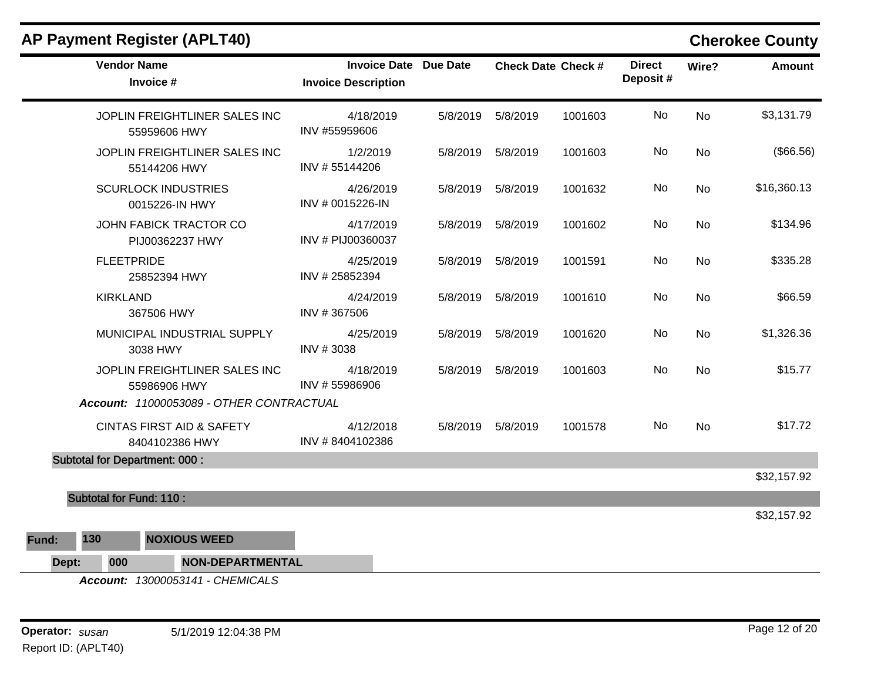| <b>AP Payment Register (APLT40)</b>                    |                                                            |          |                      |                           |                           |           | <b>Cherokee County</b> |
|--------------------------------------------------------|------------------------------------------------------------|----------|----------------------|---------------------------|---------------------------|-----------|------------------------|
| <b>Vendor Name</b><br>Invoice #                        | <b>Invoice Date Due Date</b><br><b>Invoice Description</b> |          |                      | <b>Check Date Check #</b> | <b>Direct</b><br>Deposit# | Wire?     | <b>Amount</b>          |
| JOPLIN FREIGHTLINER SALES INC<br>55959606 HWY          | 4/18/2019<br>INV #55959606                                 | 5/8/2019 | 5/8/2019             | 1001603                   | No                        | <b>No</b> | \$3,131.79             |
| JOPLIN FREIGHTLINER SALES INC<br>55144206 HWY          | 1/2/2019<br>INV #55144206                                  | 5/8/2019 | 5/8/2019             | 1001603                   | No                        | <b>No</b> | (\$66.56)              |
| <b>SCURLOCK INDUSTRIES</b><br>0015226-IN HWY           | 4/26/2019<br>INV # 0015226-IN                              |          | 5/8/2019    5/8/2019 | 1001632                   | No.                       | <b>No</b> | \$16,360.13            |
| JOHN FABICK TRACTOR CO<br>PIJ00362237 HWY              | 4/17/2019<br>INV # PIJ00360037                             | 5/8/2019 | 5/8/2019             | 1001602                   | No                        | <b>No</b> | \$134.96               |
| <b>FLEETPRIDE</b><br>25852394 HWY                      | 4/25/2019<br>INV #25852394                                 |          | 5/8/2019    5/8/2019 | 1001591                   | No                        | No        | \$335.28               |
| <b>KIRKLAND</b><br>367506 HWY                          | 4/24/2019<br>INV #367506                                   | 5/8/2019 | 5/8/2019             | 1001610                   | No                        | <b>No</b> | \$66.59                |
| MUNICIPAL INDUSTRIAL SUPPLY<br>3038 HWY                | 4/25/2019<br>INV #3038                                     |          | 5/8/2019    5/8/2019 | 1001620                   | No                        | <b>No</b> | \$1,326.36             |
| JOPLIN FREIGHTLINER SALES INC<br>55986906 HWY          | 4/18/2019<br>INV #55986906                                 | 5/8/2019 | 5/8/2019             | 1001603                   | No                        | <b>No</b> | \$15.77                |
| Account: 11000053089 - OTHER CONTRACTUAL               |                                                            |          |                      |                           |                           |           |                        |
| <b>CINTAS FIRST AID &amp; SAFETY</b><br>8404102386 HWY | 4/12/2018<br>INV #8404102386                               |          | 5/8/2019    5/8/2019 | 1001578                   | No.                       | <b>No</b> | \$17.72                |
| <b>Subtotal for Department: 000:</b>                   |                                                            |          |                      |                           |                           |           |                        |
|                                                        |                                                            |          |                      |                           |                           |           | \$32,157.92            |
| <b>Subtotal for Fund: 110:</b>                         |                                                            |          |                      |                           |                           |           |                        |
|                                                        |                                                            |          |                      |                           |                           |           | \$32,157.92            |
| <b>NOXIOUS WEED</b><br>130<br>Fund:                    |                                                            |          |                      |                           |                           |           |                        |
| 000<br><b>NON-DEPARTMENTAL</b><br>Dept:                |                                                            |          |                      |                           |                           |           |                        |

*Account: 13000053141 - CHEMICALS*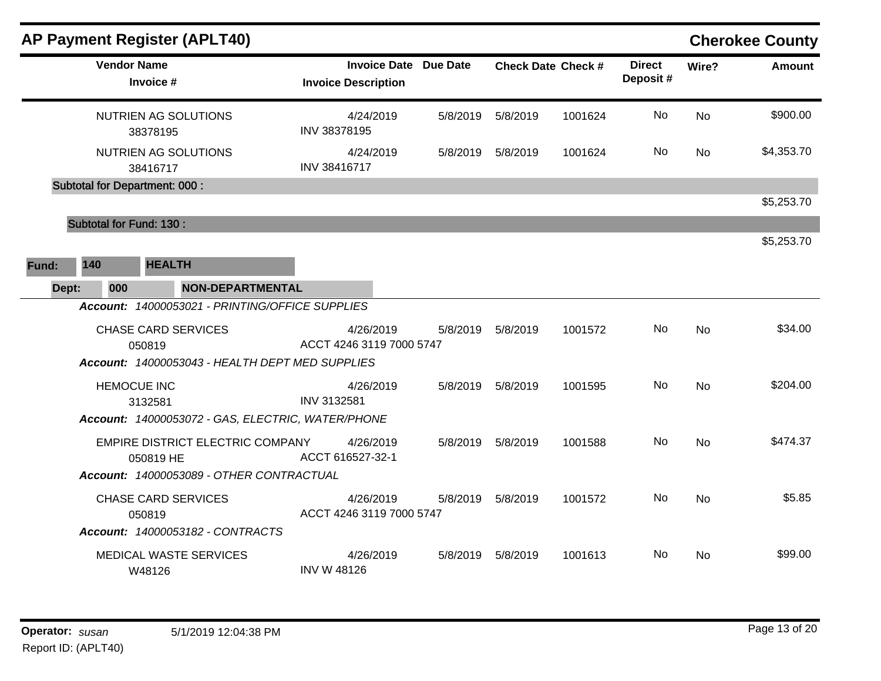|       |     |     |                                      | <b>AP Payment Register (APLT40)</b>               |                                       |                              |          |                           |                           |           | <b>Cherokee County</b> |
|-------|-----|-----|--------------------------------------|---------------------------------------------------|---------------------------------------|------------------------------|----------|---------------------------|---------------------------|-----------|------------------------|
|       |     |     | <b>Vendor Name</b><br>Invoice #      |                                                   | <b>Invoice Description</b>            | <b>Invoice Date Due Date</b> |          | <b>Check Date Check #</b> | <b>Direct</b><br>Deposit# | Wire?     | Amount                 |
|       |     |     | 38378195                             | NUTRIEN AG SOLUTIONS                              | 4/24/2019<br>INV 38378195             | 5/8/2019                     | 5/8/2019 | 1001624                   | No                        | <b>No</b> | \$900.00               |
|       |     |     | 38416717                             | NUTRIEN AG SOLUTIONS                              | 4/24/2019<br>INV 38416717             | 5/8/2019                     | 5/8/2019 | 1001624                   | No                        | <b>No</b> | \$4,353.70             |
|       |     |     | <b>Subtotal for Department: 000:</b> |                                                   |                                       |                              |          |                           |                           |           | \$5,253.70             |
|       |     |     | <b>Subtotal for Fund: 130:</b>       |                                                   |                                       |                              |          |                           |                           |           |                        |
|       |     |     |                                      |                                                   |                                       |                              |          |                           |                           |           | \$5,253.70             |
| Fund: | 140 |     | <b>HEALTH</b>                        |                                                   |                                       |                              |          |                           |                           |           |                        |
| Dept: |     | 000 |                                      | <b>NON-DEPARTMENTAL</b>                           |                                       |                              |          |                           |                           |           |                        |
|       |     |     |                                      | Account: 14000053021 - PRINTING/OFFICE SUPPLIES   |                                       |                              |          |                           |                           |           |                        |
|       |     |     | 050819                               | <b>CHASE CARD SERVICES</b>                        | 4/26/2019<br>ACCT 4246 3119 7000 5747 | 5/8/2019                     | 5/8/2019 | 1001572                   | No.                       | <b>No</b> | \$34.00                |
|       |     |     |                                      | Account: 14000053043 - HEALTH DEPT MED SUPPLIES   |                                       |                              |          |                           |                           |           |                        |
|       |     |     | <b>HEMOCUE INC</b><br>3132581        |                                                   | 4/26/2019<br>INV 3132581              | 5/8/2019                     | 5/8/2019 | 1001595                   | <b>No</b>                 | <b>No</b> | \$204.00               |
|       |     |     |                                      | Account: 14000053072 - GAS, ELECTRIC, WATER/PHONE |                                       |                              |          |                           |                           |           |                        |
|       |     |     | 050819 HE                            | EMPIRE DISTRICT ELECTRIC COMPANY                  | 4/26/2019<br>ACCT 616527-32-1         | 5/8/2019                     | 5/8/2019 | 1001588                   | No                        | <b>No</b> | \$474.37               |
|       |     |     |                                      | Account: 14000053089 - OTHER CONTRACTUAL          |                                       |                              |          |                           |                           |           |                        |
|       |     |     | 050819                               | <b>CHASE CARD SERVICES</b>                        | 4/26/2019<br>ACCT 4246 3119 7000 5747 | 5/8/2019                     | 5/8/2019 | 1001572                   | No.                       | <b>No</b> | \$5.85                 |
|       |     |     |                                      | Account: 14000053182 - CONTRACTS                  |                                       |                              |          |                           |                           |           |                        |
|       |     |     | W48126                               | <b>MEDICAL WASTE SERVICES</b>                     | 4/26/2019<br><b>INV W 48126</b>       | 5/8/2019                     | 5/8/2019 | 1001613                   | No.                       | No.       | \$99.00                |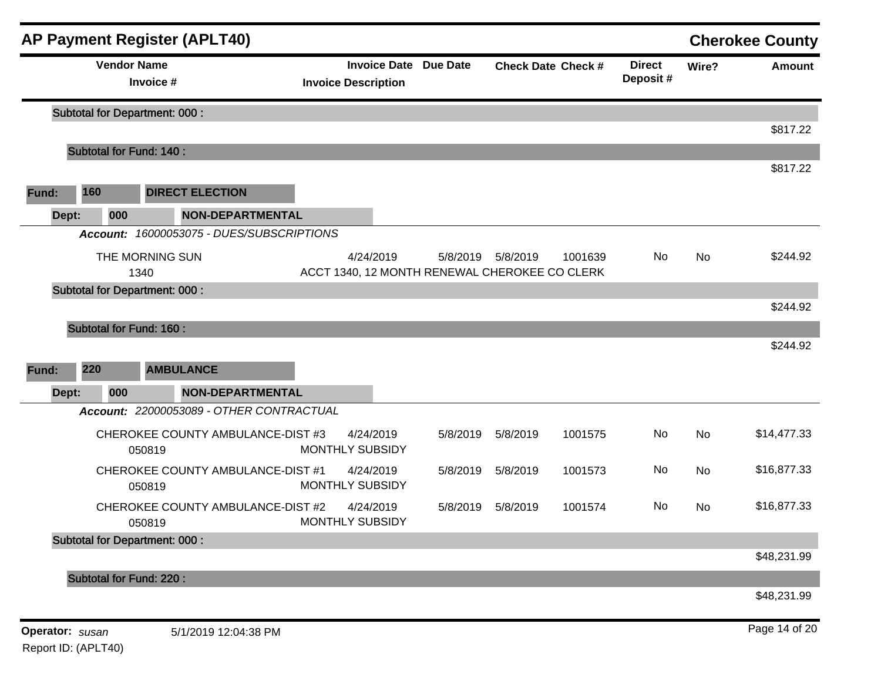|                 |                                       | <b>AP Payment Register (APLT40)</b>         |                                                            |          |                      |                           |                           |           | <b>Cherokee County</b> |
|-----------------|---------------------------------------|---------------------------------------------|------------------------------------------------------------|----------|----------------------|---------------------------|---------------------------|-----------|------------------------|
|                 | <b>Vendor Name</b>                    | Invoice #                                   | <b>Invoice Date Due Date</b><br><b>Invoice Description</b> |          |                      | <b>Check Date Check #</b> | <b>Direct</b><br>Deposit# | Wire?     | <b>Amount</b>          |
|                 |                                       | <b>Subtotal for Department: 000:</b>        |                                                            |          |                      |                           |                           |           |                        |
|                 | <b>Subtotal for Fund: 140:</b>        |                                             |                                                            |          |                      |                           |                           |           | \$817.22               |
|                 |                                       |                                             |                                                            |          |                      |                           |                           |           | \$817.22               |
| Fund:           | 160                                   | <b>DIRECT ELECTION</b>                      |                                                            |          |                      |                           |                           |           |                        |
| Dept:           | 000                                   | <b>NON-DEPARTMENTAL</b>                     |                                                            |          |                      |                           |                           |           |                        |
|                 |                                       | Account: 16000053075 - DUES/SUBSCRIPTIONS   |                                                            |          |                      |                           |                           |           |                        |
|                 |                                       | THE MORNING SUN<br>1340                     | 4/24/2019<br>ACCT 1340, 12 MONTH RENEWAL CHEROKEE CO CLERK |          | 5/8/2019    5/8/2019 | 1001639                   | No                        | No        | \$244.92               |
|                 |                                       | <b>Subtotal for Department: 000:</b>        |                                                            |          |                      |                           |                           |           | \$244.92               |
| Fund:           | <b>Subtotal for Fund: 160:</b><br>220 | <b>AMBULANCE</b>                            |                                                            |          |                      |                           |                           |           | \$244.92               |
| Dept:           | 000                                   | <b>NON-DEPARTMENTAL</b>                     |                                                            |          |                      |                           |                           |           |                        |
|                 |                                       | Account: 22000053089 - OTHER CONTRACTUAL    |                                                            |          |                      |                           |                           |           |                        |
|                 |                                       | CHEROKEE COUNTY AMBULANCE-DIST #3<br>050819 | 4/24/2019<br><b>MONTHLY SUBSIDY</b>                        | 5/8/2019 | 5/8/2019             | 1001575                   | No                        | <b>No</b> | \$14,477.33            |
|                 |                                       | CHEROKEE COUNTY AMBULANCE-DIST #1<br>050819 | 4/24/2019<br><b>MONTHLY SUBSIDY</b>                        | 5/8/2019 | 5/8/2019             | 1001573                   | No                        | No        | \$16,877.33            |
|                 |                                       | CHEROKEE COUNTY AMBULANCE-DIST #2<br>050819 | 4/24/2019<br><b>MONTHLY SUBSIDY</b>                        | 5/8/2019 | 5/8/2019             | 1001574                   | No                        | No        | \$16,877.33            |
|                 |                                       | <b>Subtotal for Department: 000:</b>        |                                                            |          |                      |                           |                           |           | \$48,231.99            |
|                 | Subtotal for Fund: 220 :              |                                             |                                                            |          |                      |                           |                           |           | \$48,231.99            |
| Operator: susan |                                       | 5/1/2019 12:04:38 PM                        |                                                            |          |                      |                           |                           |           | Page 14 of 20          |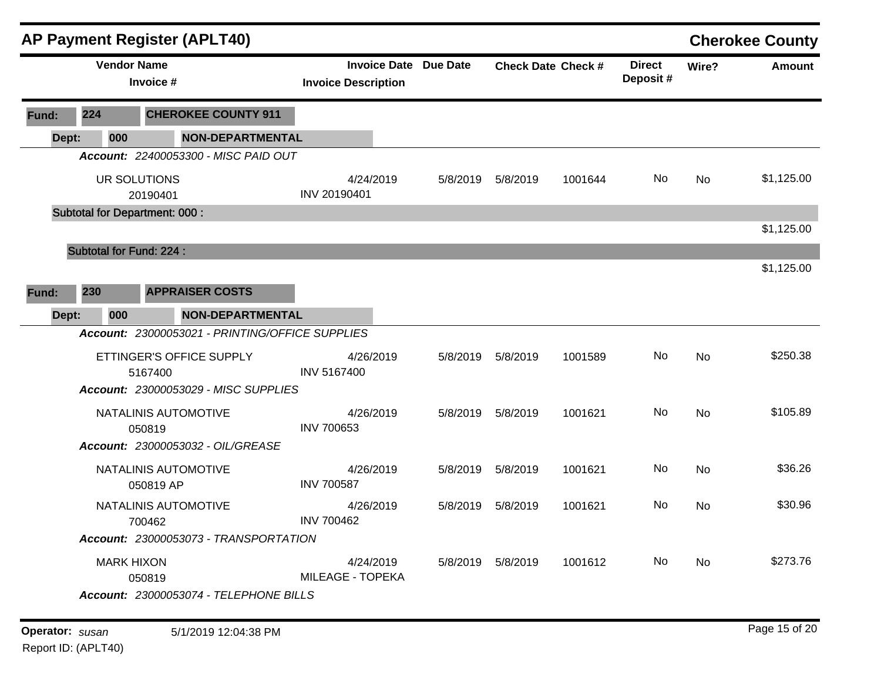|       |     |                    |                                      | <b>AP Payment Register (APLT40)</b>             |                                                            |          |                      |                           |                           |           | <b>Cherokee County</b> |
|-------|-----|--------------------|--------------------------------------|-------------------------------------------------|------------------------------------------------------------|----------|----------------------|---------------------------|---------------------------|-----------|------------------------|
|       |     | <b>Vendor Name</b> | Invoice #                            |                                                 | <b>Invoice Date Due Date</b><br><b>Invoice Description</b> |          |                      | <b>Check Date Check #</b> | <b>Direct</b><br>Deposit# | Wire?     | Amount                 |
| Fund: | 224 |                    |                                      | <b>CHEROKEE COUNTY 911</b>                      |                                                            |          |                      |                           |                           |           |                        |
| Dept: |     | 000                |                                      | <b>NON-DEPARTMENTAL</b>                         |                                                            |          |                      |                           |                           |           |                        |
|       |     |                    |                                      | Account: 22400053300 - MISC PAID OUT            |                                                            |          |                      |                           |                           |           |                        |
|       |     |                    | UR SOLUTIONS<br>20190401             |                                                 | 4/24/2019<br>INV 20190401                                  | 5/8/2019 | 5/8/2019             | 1001644                   | No                        | <b>No</b> | \$1,125.00             |
|       |     |                    | <b>Subtotal for Department: 000:</b> |                                                 |                                                            |          |                      |                           |                           |           |                        |
|       |     |                    |                                      |                                                 |                                                            |          |                      |                           |                           |           | \$1,125.00             |
|       |     |                    | <b>Subtotal for Fund: 224:</b>       |                                                 |                                                            |          |                      |                           |                           |           |                        |
|       |     |                    |                                      |                                                 |                                                            |          |                      |                           |                           |           | \$1,125.00             |
| Fund: | 230 |                    |                                      | <b>APPRAISER COSTS</b>                          |                                                            |          |                      |                           |                           |           |                        |
| Dept: |     | 000                |                                      | <b>NON-DEPARTMENTAL</b>                         |                                                            |          |                      |                           |                           |           |                        |
|       |     |                    |                                      | Account: 23000053021 - PRINTING/OFFICE SUPPLIES |                                                            |          |                      |                           |                           |           |                        |
|       |     |                    | 5167400                              | ETTINGER'S OFFICE SUPPLY                        | 4/26/2019<br>INV 5167400                                   | 5/8/2019 | 5/8/2019             | 1001589                   | No                        | <b>No</b> | \$250.38               |
|       |     |                    |                                      | Account: 23000053029 - MISC SUPPLIES            |                                                            |          |                      |                           |                           |           |                        |
|       |     |                    | 050819                               | NATALINIS AUTOMOTIVE                            | 4/26/2019<br><b>INV 700653</b>                             | 5/8/2019 | 5/8/2019             | 1001621                   | No                        | <b>No</b> | \$105.89               |
|       |     |                    |                                      | Account: 23000053032 - OIL/GREASE               |                                                            |          |                      |                           |                           |           |                        |
|       |     |                    | 050819 AP                            | NATALINIS AUTOMOTIVE                            | 4/26/2019<br><b>INV 700587</b>                             | 5/8/2019 | 5/8/2019             | 1001621                   | No                        | No        | \$36.26                |
|       |     |                    | 700462                               | NATALINIS AUTOMOTIVE                            | 4/26/2019<br><b>INV 700462</b>                             | 5/8/2019 | 5/8/2019             | 1001621                   | No                        | No        | \$30.96                |
|       |     |                    |                                      | Account: 23000053073 - TRANSPORTATION           |                                                            |          |                      |                           |                           |           |                        |
|       |     | <b>MARK HIXON</b>  | 050819                               |                                                 | 4/24/2019<br><b>MILEAGE - TOPEKA</b>                       |          | 5/8/2019    5/8/2019 | 1001612                   | No                        | No        | \$273.76               |
|       |     |                    |                                      | Account: 23000053074 - TELEPHONE BILLS          |                                                            |          |                      |                           |                           |           |                        |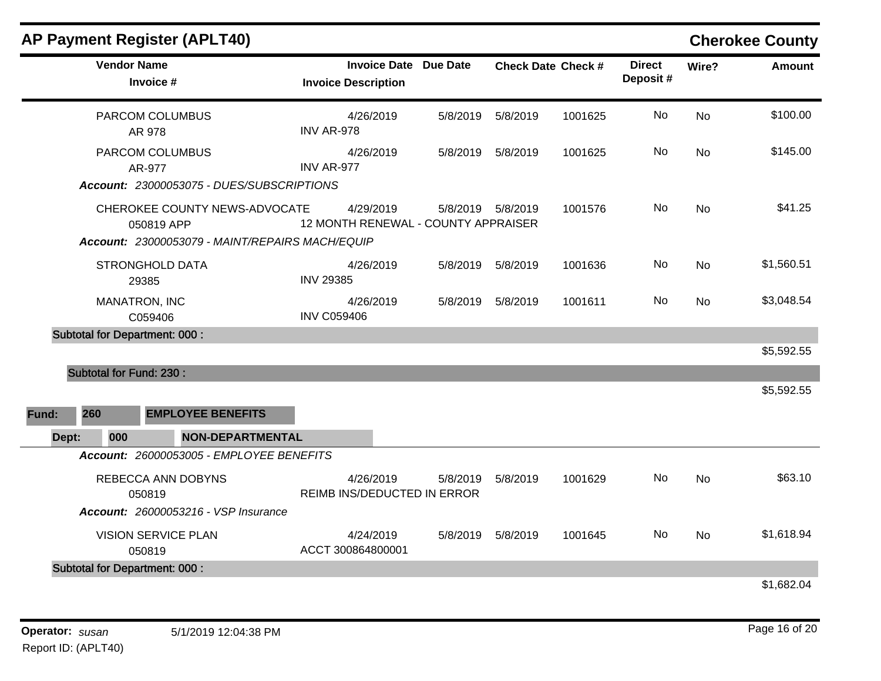|       |                                      | <b>AP Payment Register (APLT40)</b>                                                            |                    |                                                            |                                                 |                      |                           |                           |           | <b>Cherokee County</b> |
|-------|--------------------------------------|------------------------------------------------------------------------------------------------|--------------------|------------------------------------------------------------|-------------------------------------------------|----------------------|---------------------------|---------------------------|-----------|------------------------|
|       | <b>Vendor Name</b>                   | Invoice #                                                                                      |                    | <b>Invoice Date Due Date</b><br><b>Invoice Description</b> |                                                 |                      | <b>Check Date Check #</b> | <b>Direct</b><br>Deposit# | Wire?     | <b>Amount</b>          |
|       |                                      | PARCOM COLUMBUS<br>AR 978                                                                      | <b>INV AR-978</b>  | 4/26/2019                                                  | 5/8/2019                                        | 5/8/2019             | 1001625                   | <b>No</b>                 | No        | \$100.00               |
|       |                                      | PARCOM COLUMBUS<br>AR-977                                                                      | INV AR-977         | 4/26/2019                                                  | 5/8/2019                                        | 5/8/2019             | 1001625                   | No                        | <b>No</b> | \$145.00               |
|       |                                      | Account: 23000053075 - DUES/SUBSCRIPTIONS                                                      |                    |                                                            |                                                 |                      |                           |                           |           |                        |
|       |                                      | CHEROKEE COUNTY NEWS-ADVOCATE<br>050819 APP<br>Account: 23000053079 - MAINT/REPAIRS MACH/EQUIP |                    | 4/29/2019                                                  | 5/8/2019<br>12 MONTH RENEWAL - COUNTY APPRAISER | 5/8/2019             | 1001576                   | No                        | <b>No</b> | \$41.25                |
|       | 29385                                | STRONGHOLD DATA                                                                                | <b>INV 29385</b>   | 4/26/2019                                                  | 5/8/2019                                        | 5/8/2019             | 1001636                   | No                        | <b>No</b> | \$1,560.51             |
|       | MANATRON, INC                        | C059406                                                                                        | <b>INV C059406</b> | 4/26/2019                                                  |                                                 | 5/8/2019    5/8/2019 | 1001611                   | No.                       | No        | \$3,048.54             |
|       | <b>Subtotal for Department: 000:</b> |                                                                                                |                    |                                                            |                                                 |                      |                           |                           |           |                        |
|       |                                      |                                                                                                |                    |                                                            |                                                 |                      |                           |                           |           | \$5,592.55             |
|       | <b>Subtotal for Fund: 230:</b>       |                                                                                                |                    |                                                            |                                                 |                      |                           |                           |           |                        |
|       |                                      |                                                                                                |                    |                                                            |                                                 |                      |                           |                           |           | \$5,592.55             |
| Fund: | 260                                  | <b>EMPLOYEE BENEFITS</b>                                                                       |                    |                                                            |                                                 |                      |                           |                           |           |                        |
| Dept: | 000                                  | <b>NON-DEPARTMENTAL</b>                                                                        |                    |                                                            |                                                 |                      |                           |                           |           |                        |
|       |                                      | Account: 26000053005 - EMPLOYEE BENEFITS                                                       |                    |                                                            |                                                 |                      |                           |                           |           |                        |
|       |                                      | REBECCA ANN DOBYNS<br>050819                                                                   |                    | 4/26/2019<br>REIMB INS/DEDUCTED IN ERROR                   | 5/8/2019                                        | 5/8/2019             | 1001629                   | No.                       | <b>No</b> | \$63.10                |
|       |                                      | <b>Account: 26000053216 - VSP Insurance</b>                                                    |                    |                                                            |                                                 |                      |                           |                           |           |                        |
|       |                                      | <b>VISION SERVICE PLAN</b><br>050819                                                           |                    | 4/24/2019<br>ACCT 300864800001                             | 5/8/2019                                        | 5/8/2019             | 1001645                   | No                        | <b>No</b> | \$1,618.94             |
|       | <b>Subtotal for Department: 000:</b> |                                                                                                |                    |                                                            |                                                 |                      |                           |                           |           |                        |
|       |                                      |                                                                                                |                    |                                                            |                                                 |                      |                           |                           |           | \$1,682.04             |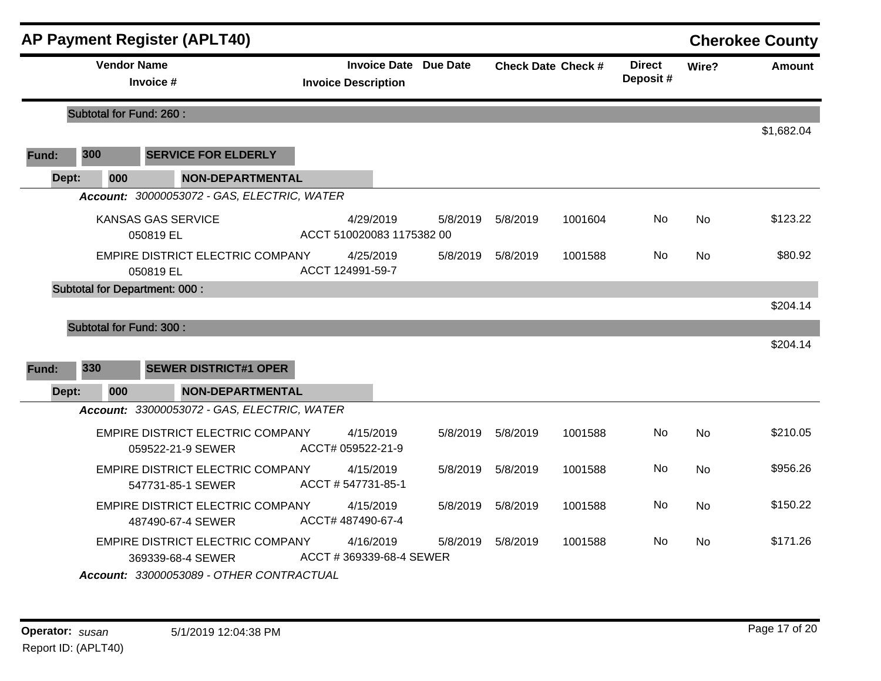|       |                                | <b>AP Payment Register (APLT40)</b>                   |                                        |           |                              |          |                           |                           |           | <b>Cherokee County</b> |
|-------|--------------------------------|-------------------------------------------------------|----------------------------------------|-----------|------------------------------|----------|---------------------------|---------------------------|-----------|------------------------|
|       | <b>Vendor Name</b>             | Invoice #                                             | <b>Invoice Description</b>             |           | <b>Invoice Date Due Date</b> |          | <b>Check Date Check #</b> | <b>Direct</b><br>Deposit# | Wire?     | <b>Amount</b>          |
|       | <b>Subtotal for Fund: 260:</b> |                                                       |                                        |           |                              |          |                           |                           |           |                        |
|       |                                |                                                       |                                        |           |                              |          |                           |                           |           | \$1,682.04             |
| Fund: | 300                            | <b>SERVICE FOR ELDERLY</b>                            |                                        |           |                              |          |                           |                           |           |                        |
| Dept: | 000                            | <b>NON-DEPARTMENTAL</b>                               |                                        |           |                              |          |                           |                           |           |                        |
|       |                                | Account: 30000053072 - GAS, ELECTRIC, WATER           |                                        |           |                              |          |                           |                           |           |                        |
|       |                                | <b>KANSAS GAS SERVICE</b><br>050819 EL                | 4/29/2019<br>ACCT 510020083 1175382 00 |           | 5/8/2019                     | 5/8/2019 | 1001604                   | No                        | <b>No</b> | \$123.22               |
|       |                                | EMPIRE DISTRICT ELECTRIC COMPANY<br>050819 EL         | 4/25/2019<br>ACCT 124991-59-7          |           | 5/8/2019                     | 5/8/2019 | 1001588                   | No                        | <b>No</b> | \$80.92                |
|       |                                | <b>Subtotal for Department: 000:</b>                  |                                        |           |                              |          |                           |                           |           |                        |
|       |                                |                                                       |                                        |           |                              |          |                           |                           |           | \$204.14               |
|       | <b>Subtotal for Fund: 300:</b> |                                                       |                                        |           |                              |          |                           |                           |           |                        |
|       |                                |                                                       |                                        |           |                              |          |                           |                           |           | \$204.14               |
| Fund: | 330                            | <b>SEWER DISTRICT#1 OPER</b>                          |                                        |           |                              |          |                           |                           |           |                        |
| Dept: | 000                            | <b>NON-DEPARTMENTAL</b>                               |                                        |           |                              |          |                           |                           |           |                        |
|       |                                | Account: 33000053072 - GAS, ELECTRIC, WATER           |                                        |           |                              |          |                           |                           |           |                        |
|       |                                | EMPIRE DISTRICT ELECTRIC COMPANY<br>059522-21-9 SEWER | ACCT# 059522-21-9                      | 4/15/2019 | 5/8/2019                     | 5/8/2019 | 1001588                   | No                        | <b>No</b> | \$210.05               |
|       |                                | EMPIRE DISTRICT ELECTRIC COMPANY<br>547731-85-1 SEWER | ACCT # 547731-85-1                     | 4/15/2019 | 5/8/2019                     | 5/8/2019 | 1001588                   | No.                       | <b>No</b> | \$956.26               |
|       |                                | EMPIRE DISTRICT ELECTRIC COMPANY<br>487490-67-4 SEWER | 4/15/2019<br>ACCT# 487490-67-4         |           | 5/8/2019                     | 5/8/2019 | 1001588                   | No                        | <b>No</b> | \$150.22               |
|       |                                | EMPIRE DISTRICT ELECTRIC COMPANY<br>369339-68-4 SEWER | 4/16/2019<br>ACCT #369339-68-4 SEWER   |           | 5/8/2019                     | 5/8/2019 | 1001588                   | No                        | <b>No</b> | \$171.26               |
|       |                                | Account: 33000053089 - OTHER CONTRACTUAL              |                                        |           |                              |          |                           |                           |           |                        |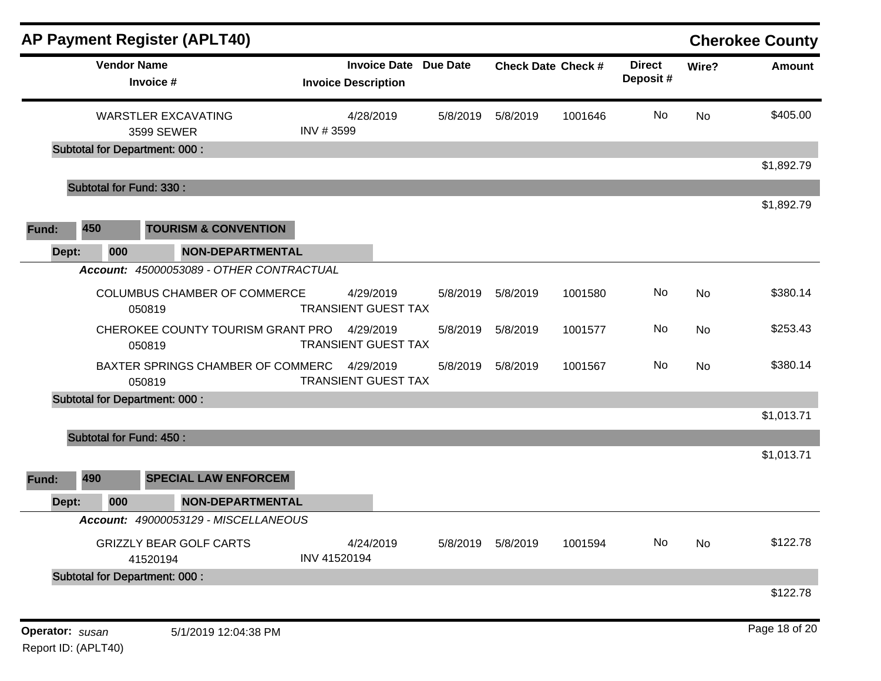|                 |                                      | <b>AP Payment Register (APLT40)</b>      |                                                            |          |                      |                           |                           |       | <b>Cherokee County</b> |
|-----------------|--------------------------------------|------------------------------------------|------------------------------------------------------------|----------|----------------------|---------------------------|---------------------------|-------|------------------------|
|                 | <b>Vendor Name</b><br>Invoice #      |                                          | <b>Invoice Date Due Date</b><br><b>Invoice Description</b> |          |                      | <b>Check Date Check #</b> | <b>Direct</b><br>Deposit# | Wire? | Amount                 |
|                 |                                      | <b>WARSTLER EXCAVATING</b><br>3599 SEWER | 4/28/2019<br>INV #3599                                     | 5/8/2019 | 5/8/2019             | 1001646                   | No                        | No    | \$405.00               |
|                 | <b>Subtotal for Department: 000:</b> |                                          |                                                            |          |                      |                           |                           |       | \$1,892.79             |
|                 | <b>Subtotal for Fund: 330:</b>       |                                          |                                                            |          |                      |                           |                           |       |                        |
| 450<br>Fund:    |                                      | <b>TOURISM &amp; CONVENTION</b>          |                                                            |          |                      |                           |                           |       | \$1,892.79             |
| Dept:           | 000                                  | <b>NON-DEPARTMENTAL</b>                  |                                                            |          |                      |                           |                           |       |                        |
|                 |                                      | Account: 45000053089 - OTHER CONTRACTUAL |                                                            |          |                      |                           |                           |       |                        |
|                 | 050819                               | <b>COLUMBUS CHAMBER OF COMMERCE</b>      | 4/29/2019<br><b>TRANSIENT GUEST TAX</b>                    | 5/8/2019 | 5/8/2019             | 1001580                   | No                        | No    | \$380.14               |
|                 | 050819                               | CHEROKEE COUNTY TOURISM GRANT PRO        | 4/29/2019<br><b>TRANSIENT GUEST TAX</b>                    | 5/8/2019 | 5/8/2019             | 1001577                   | No                        | No    | \$253.43               |
|                 | 050819                               | BAXTER SPRINGS CHAMBER OF COMMERC        | 4/29/2019<br><b>TRANSIENT GUEST TAX</b>                    | 5/8/2019 | 5/8/2019             | 1001567                   | No                        | No    | \$380.14               |
|                 | <b>Subtotal for Department: 000:</b> |                                          |                                                            |          |                      |                           |                           |       |                        |
|                 |                                      |                                          |                                                            |          |                      |                           |                           |       | \$1,013.71             |
|                 | <b>Subtotal for Fund: 450:</b>       |                                          |                                                            |          |                      |                           |                           |       |                        |
| 490<br>Fund:    |                                      | <b>SPECIAL LAW ENFORCEM</b>              |                                                            |          |                      |                           |                           |       | \$1,013.71             |
| Dept:           | 000                                  | <b>NON-DEPARTMENTAL</b>                  |                                                            |          |                      |                           |                           |       |                        |
|                 |                                      | Account: 49000053129 - MISCELLANEOUS     |                                                            |          |                      |                           |                           |       |                        |
|                 | 41520194                             | <b>GRIZZLY BEAR GOLF CARTS</b>           | 4/24/2019<br>INV 41520194                                  |          | 5/8/2019    5/8/2019 | 1001594                   | No                        | No    | \$122.78               |
|                 | <b>Subtotal for Department: 000:</b> |                                          |                                                            |          |                      |                           |                           |       |                        |
|                 |                                      |                                          |                                                            |          |                      |                           |                           |       | \$122.78               |
| Operator: susan |                                      | 5/1/2019 12:04:38 PM                     |                                                            |          |                      |                           |                           |       | Page 18 of 20          |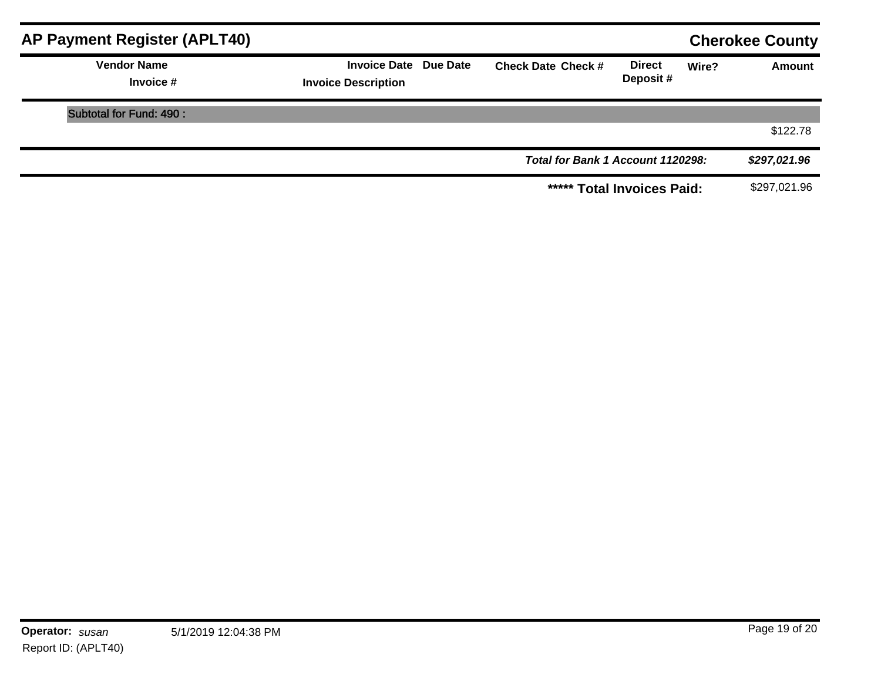| AP Payment Register (APLT40)    |                                                            |                                   |                           |       | <b>Cherokee County</b> |
|---------------------------------|------------------------------------------------------------|-----------------------------------|---------------------------|-------|------------------------|
| <b>Vendor Name</b><br>Invoice # | <b>Invoice Date Due Date</b><br><b>Invoice Description</b> | <b>Check Date Check #</b>         | <b>Direct</b><br>Deposit# | Wire? | Amount                 |
| Subtotal for Fund: 490 :        |                                                            |                                   |                           |       |                        |
|                                 |                                                            |                                   |                           |       | \$122.78               |
|                                 |                                                            | Total for Bank 1 Account 1120298: |                           |       | \$297,021.96           |
|                                 |                                                            | ***** Total Invoices Paid:        |                           |       | \$297,021.96           |